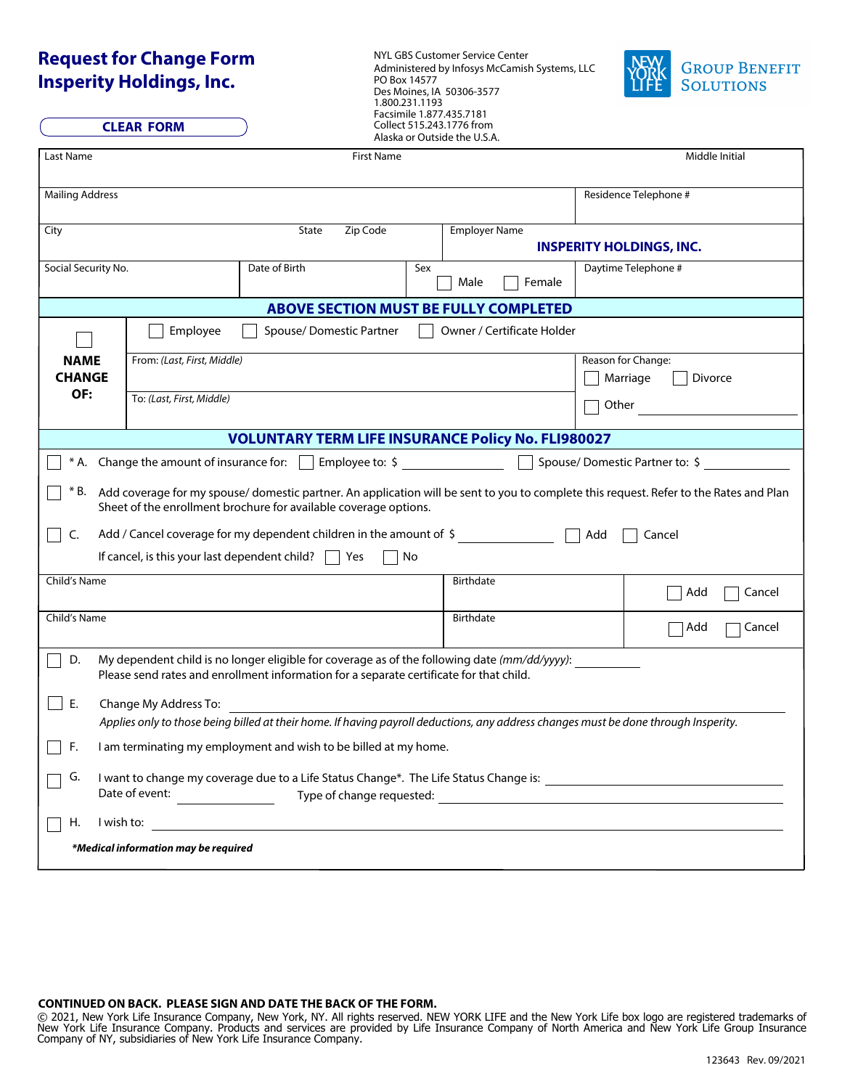## **Request for Change Form Insperity Holdings, Inc.**

NYL GBS Customer Service Center Administered by Infosys McCamish Systems, LLC



| Insperity Holdings, Inc.<br><b>CLEAR FORM</b> |                                                                                                                                                                                                           |                                      | PO Box 14577<br>Des Moines, IA 50306-3577<br>1.800.231.1193<br>Facsimile 1.877.435.7181<br>Collect 515.243.1776 from |     |                |                                 |                     | <b>LIFE</b><br><b>SOLUTIONS</b> |  |
|-----------------------------------------------|-----------------------------------------------------------------------------------------------------------------------------------------------------------------------------------------------------------|--------------------------------------|----------------------------------------------------------------------------------------------------------------------|-----|----------------|---------------------------------|---------------------|---------------------------------|--|
|                                               |                                                                                                                                                                                                           |                                      | Alaska or Outside the U.S.A.                                                                                         |     |                |                                 |                     |                                 |  |
| Last Name                                     |                                                                                                                                                                                                           |                                      | First Name                                                                                                           |     |                | Middle Initial                  |                     |                                 |  |
| <b>Mailing Address</b>                        |                                                                                                                                                                                                           |                                      |                                                                                                                      |     |                | Residence Telephone #           |                     |                                 |  |
| City                                          |                                                                                                                                                                                                           |                                      | Zip Code<br><b>Employer Name</b><br>State                                                                            |     |                | <b>INSPERITY HOLDINGS, INC.</b> |                     |                                 |  |
| Social Security No.                           |                                                                                                                                                                                                           |                                      | Date of Birth                                                                                                        | Sex | Male<br>Female |                                 |                     | Daytime Telephone #             |  |
|                                               |                                                                                                                                                                                                           |                                      | <b>ABOVE SECTION MUST BE FULLY COMPLETED</b>                                                                         |     |                |                                 |                     |                                 |  |
|                                               |                                                                                                                                                                                                           | Employee                             | Spouse/Domestic Partner                                                                                              |     |                | Owner / Certificate Holder      |                     |                                 |  |
| <b>NAME</b>                                   |                                                                                                                                                                                                           | From: (Last, First, Middle)          |                                                                                                                      |     |                |                                 |                     | Reason for Change:              |  |
| <b>CHANGE</b>                                 |                                                                                                                                                                                                           |                                      |                                                                                                                      |     |                |                                 | Marriage<br>Divorce |                                 |  |
| OF:<br>To: (Last, First, Middle)              |                                                                                                                                                                                                           |                                      |                                                                                                                      |     |                |                                 | Other               |                                 |  |
|                                               |                                                                                                                                                                                                           |                                      |                                                                                                                      |     |                |                                 |                     |                                 |  |
|                                               | <b>VOLUNTARY TERM LIFE INSURANCE Policy No. FLI980027</b>                                                                                                                                                 |                                      |                                                                                                                      |     |                |                                 |                     |                                 |  |
|                                               | * A. Change the amount of insurance for: $\Box$ Employee to: \$<br>Spouse/Domestic Partner to: \$                                                                                                         |                                      |                                                                                                                      |     |                |                                 |                     |                                 |  |
| * B.                                          | Add coverage for my spouse/domestic partner. An application will be sent to you to complete this request. Refer to the Rates and Plan<br>Sheet of the enrollment brochure for available coverage options. |                                      |                                                                                                                      |     |                |                                 |                     |                                 |  |
| C.                                            | Add / Cancel coverage for my dependent children in the amount of \$<br>Add<br>Cancel                                                                                                                      |                                      |                                                                                                                      |     |                |                                 |                     |                                 |  |
|                                               | If cancel, is this your last dependent child?<br>Yes<br>No                                                                                                                                                |                                      |                                                                                                                      |     |                |                                 |                     |                                 |  |
| Child's Name                                  |                                                                                                                                                                                                           |                                      |                                                                                                                      |     | Birthdate      |                                 |                     | Add<br>Cancel                   |  |
| Child's Name                                  |                                                                                                                                                                                                           |                                      |                                                                                                                      |     | Birthdate      |                                 |                     | Cancel<br>Add                   |  |
| D.                                            | My dependent child is no longer eligible for coverage as of the following date (mm/dd/yyyy):<br>Please send rates and enrollment information for a separate certificate for that child.                   |                                      |                                                                                                                      |     |                |                                 |                     |                                 |  |
| Е.                                            | Change My Address To:<br>Applies only to those being billed at their home. If having payroll deductions, any address changes must be done through Insperity.                                              |                                      |                                                                                                                      |     |                |                                 |                     |                                 |  |
|                                               |                                                                                                                                                                                                           |                                      |                                                                                                                      |     |                |                                 |                     |                                 |  |
| F.                                            | I am terminating my employment and wish to be billed at my home.                                                                                                                                          |                                      |                                                                                                                      |     |                |                                 |                     |                                 |  |
| G.                                            |                                                                                                                                                                                                           |                                      |                                                                                                                      |     |                |                                 |                     |                                 |  |
|                                               |                                                                                                                                                                                                           | Date of event:                       |                                                                                                                      |     |                |                                 |                     |                                 |  |
| Η.                                            |                                                                                                                                                                                                           |                                      |                                                                                                                      |     |                |                                 |                     |                                 |  |
|                                               |                                                                                                                                                                                                           | *Medical information may be required |                                                                                                                      |     |                |                                 |                     |                                 |  |

## **CONTINUED ON BACK. PLEASE SIGN AND DATE THE BACK OF THE FORM.**

© 2021, New York Life Insurance Company, New York, NY. All rights reserved. NEW YORK LIFE and the New York Life box logo are registered trademarks of New York Life Insurance Company. Products and services are provided by Life Insurance Company of North America and New York Life Group Insurance Company of NY, subsidiaries of New York Life Insurance Company.